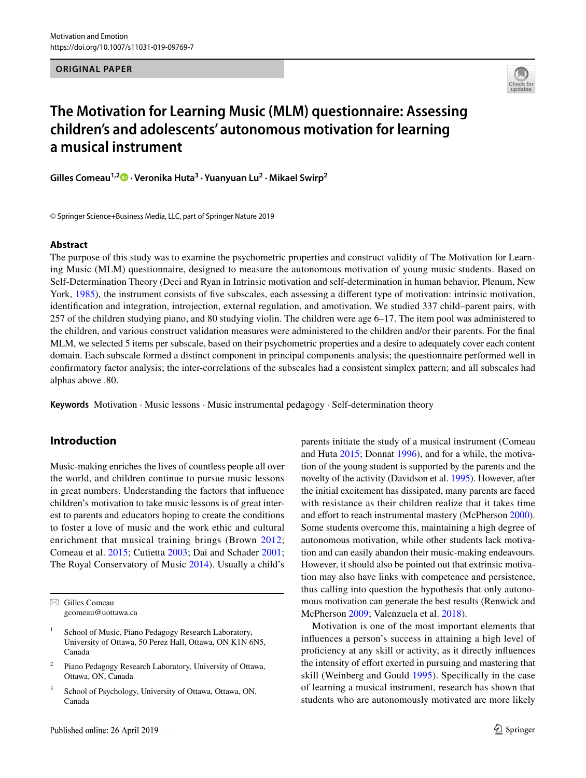**ORIGINAL PAPER**



# **The Motivation for Learning Music (MLM) questionnaire: Assessing children's and adolescents' autonomous motivation for learning a musical instrument**

**Gilles Comeau1,[2](http://orcid.org/0000-0003-4192-4931) · Veronika Huta3 · Yuanyuan Lu2 · Mikael Swirp2**

© Springer Science+Business Media, LLC, part of Springer Nature 2019

#### **Abstract**

The purpose of this study was to examine the psychometric properties and construct validity of The Motivation for Learning Music (MLM) questionnaire, designed to measure the autonomous motivation of young music students. Based on Self-Determination Theory (Deci and Ryan in Intrinsic motivation and self-determination in human behavior, Plenum, New York, [1985\)](#page-12-0), the instrument consists of fve subscales, each assessing a diferent type of motivation: intrinsic motivation, identifcation and integration, introjection, external regulation, and amotivation. We studied 337 child–parent pairs, with 257 of the children studying piano, and 80 studying violin. The children were age 6–17. The item pool was administered to the children, and various construct validation measures were administered to the children and/or their parents. For the fnal MLM, we selected 5 items per subscale, based on their psychometric properties and a desire to adequately cover each content domain. Each subscale formed a distinct component in principal components analysis; the questionnaire performed well in confrmatory factor analysis; the inter-correlations of the subscales had a consistent simplex pattern; and all subscales had alphas above .80.

**Keywords** Motivation · Music lessons · Music instrumental pedagogy · Self-determination theory

# **Introduction**

Music-making enriches the lives of countless people all over the world, and children continue to pursue music lessons in great numbers. Understanding the factors that infuence children's motivation to take music lessons is of great interest to parents and educators hoping to create the conditions to foster a love of music and the work ethic and cultural enrichment that musical training brings (Brown [2012](#page-11-0); Comeau et al. [2015](#page-11-1); Cutietta [2003;](#page-11-2) Dai and Schader [2001](#page-11-3); The Royal Conservatory of Music [2014](#page-12-1)). Usually a child's

parents initiate the study of a musical instrument (Comeau and Huta [2015;](#page-11-4) Donnat [1996\)](#page-12-2), and for a while, the motivation of the young student is supported by the parents and the novelty of the activity (Davidson et al. [1995](#page-11-5)). However, after the initial excitement has dissipated, many parents are faced with resistance as their children realize that it takes time and effort to reach instrumental mastery (McPherson [2000](#page-12-3)). Some students overcome this, maintaining a high degree of autonomous motivation, while other students lack motivation and can easily abandon their music-making endeavours. However, it should also be pointed out that extrinsic motivation may also have links with competence and persistence, thus calling into question the hypothesis that only autonomous motivation can generate the best results (Renwick and McPherson [2009;](#page-12-4) Valenzuela et al. [2018](#page-13-0)).

Motivation is one of the most important elements that infuences a person's success in attaining a high level of profciency at any skill or activity, as it directly infuences the intensity of effort exerted in pursuing and mastering that skill (Weinberg and Gould [1995\)](#page-13-1). Specifcally in the case of learning a musical instrument, research has shown that students who are autonomously motivated are more likely

 $\boxtimes$  Gilles Comeau gcomeau@uottawa.ca

School of Music, Piano Pedagogy Research Laboratory, University of Ottawa, 50 Perez Hall, Ottawa, ON K1N 6N5, Canada

<sup>2</sup> Piano Pedagogy Research Laboratory, University of Ottawa, Ottawa, ON, Canada

<sup>&</sup>lt;sup>3</sup> School of Psychology, University of Ottawa, Ottawa, ON, Canada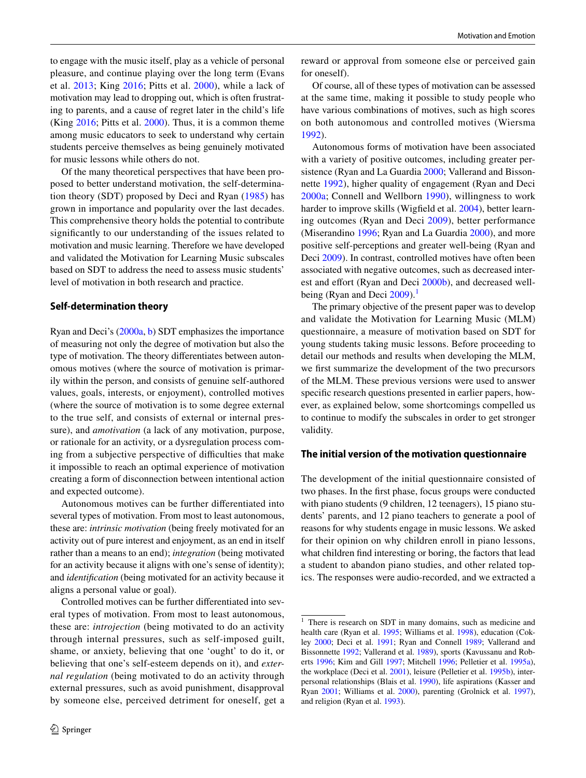to engage with the music itself, play as a vehicle of personal pleasure, and continue playing over the long term (Evans et al. [2013](#page-12-5); King [2016;](#page-12-6) Pitts et al. [2000\)](#page-12-7), while a lack of motivation may lead to dropping out, which is often frustrating to parents, and a cause of regret later in the child's life (King [2016;](#page-12-6) Pitts et al. [2000\)](#page-12-7). Thus, it is a common theme among music educators to seek to understand why certain students perceive themselves as being genuinely motivated for music lessons while others do not.

Of the many theoretical perspectives that have been proposed to better understand motivation, the self-determination theory (SDT) proposed by Deci and Ryan ([1985](#page-12-0)) has grown in importance and popularity over the last decades. This comprehensive theory holds the potential to contribute signifcantly to our understanding of the issues related to motivation and music learning. Therefore we have developed and validated the Motivation for Learning Music subscales based on SDT to address the need to assess music students' level of motivation in both research and practice.

#### **Self‑determination theory**

Ryan and Deci's [\(2000a,](#page-12-8) [b](#page-12-9)) SDT emphasizes the importance of measuring not only the degree of motivation but also the type of motivation. The theory diferentiates between autonomous motives (where the source of motivation is primarily within the person, and consists of genuine self-authored values, goals, interests, or enjoyment), controlled motives (where the source of motivation is to some degree external to the true self, and consists of external or internal pressure), and *amotivation* (a lack of any motivation, purpose, or rationale for an activity, or a dysregulation process coming from a subjective perspective of difficulties that make it impossible to reach an optimal experience of motivation creating a form of disconnection between intentional action and expected outcome).

Autonomous motives can be further diferentiated into several types of motivation. From most to least autonomous, these are: *intrinsic motivation* (being freely motivated for an activity out of pure interest and enjoyment, as an end in itself rather than a means to an end); *integration* (being motivated for an activity because it aligns with one's sense of identity); and *identifcation* (being motivated for an activity because it aligns a personal value or goal).

Controlled motives can be further diferentiated into several types of motivation. From most to least autonomous, these are: *introjection* (being motivated to do an activity through internal pressures, such as self-imposed guilt, shame, or anxiety, believing that one 'ought' to do it, or believing that one's self-esteem depends on it), and *external regulation* (being motivated to do an activity through external pressures, such as avoid punishment, disapproval by someone else, perceived detriment for oneself, get a reward or approval from someone else or perceived gain for oneself).

Of course, all of these types of motivation can be assessed at the same time, making it possible to study people who have various combinations of motives, such as high scores on both autonomous and controlled motives (Wiersma [1992](#page-13-2)).

Autonomous forms of motivation have been associated with a variety of positive outcomes, including greater persistence (Ryan and La Guardia [2000;](#page-12-10) Vallerand and Bissonnette [1992\)](#page-13-3), higher quality of engagement (Ryan and Deci [2000a](#page-12-8); Connell and Wellborn [1990](#page-11-6)), willingness to work harder to improve skills (Wigfeld et al. [2004\)](#page-13-4), better learning outcomes (Ryan and Deci [2009](#page-12-11)), better performance (Miserandino [1996](#page-12-12); Ryan and La Guardia [2000\)](#page-12-10), and more positive self-perceptions and greater well-being (Ryan and Deci [2009\)](#page-12-11). In contrast, controlled motives have often been associated with negative outcomes, such as decreased inter-est and effort (Ryan and Deci [2000b\)](#page-12-9), and decreased wellbeing (Ryan and Deci  $2009$ ).<sup>[1](#page-1-0)</sup>

The primary objective of the present paper was to develop and validate the Motivation for Learning Music (MLM) questionnaire, a measure of motivation based on SDT for young students taking music lessons. Before proceeding to detail our methods and results when developing the MLM, we frst summarize the development of the two precursors of the MLM. These previous versions were used to answer specifc research questions presented in earlier papers, however, as explained below, some shortcomings compelled us to continue to modify the subscales in order to get stronger validity.

#### **The initial version of the motivation questionnaire**

The development of the initial questionnaire consisted of two phases. In the frst phase, focus groups were conducted with piano students (9 children, 12 teenagers), 15 piano students' parents, and 12 piano teachers to generate a pool of reasons for why students engage in music lessons. We asked for their opinion on why children enroll in piano lessons, what children fnd interesting or boring, the factors that lead a student to abandon piano studies, and other related topics. The responses were audio-recorded, and we extracted a

<span id="page-1-0"></span><sup>&</sup>lt;sup>1</sup> There is research on SDT in many domains, such as medicine and health care (Ryan et al. [1995](#page-12-13); Williams et al. [1998\)](#page-13-5), education (Cokley [2000;](#page-11-7) Deci et al. [1991](#page-12-14); Ryan and Connell [1989;](#page-12-15) Vallerand and Bissonnette [1992](#page-13-3); Vallerand et al. [1989\)](#page-13-6), sports (Kavussanu and Roberts [1996](#page-12-16); Kim and Gill [1997](#page-12-17); Mitchell [1996;](#page-12-18) Pelletier et al. [1995a](#page-12-19)), the workplace (Deci et al. [2001](#page-12-20)), leisure (Pelletier et al. [1995b\)](#page-12-21), interpersonal relationships (Blais et al. [1990\)](#page-11-8), life aspirations (Kasser and Ryan [2001;](#page-12-22) Williams et al. [2000\)](#page-13-7), parenting (Grolnick et al. [1997](#page-12-23)), and religion (Ryan et al. [1993](#page-12-24)).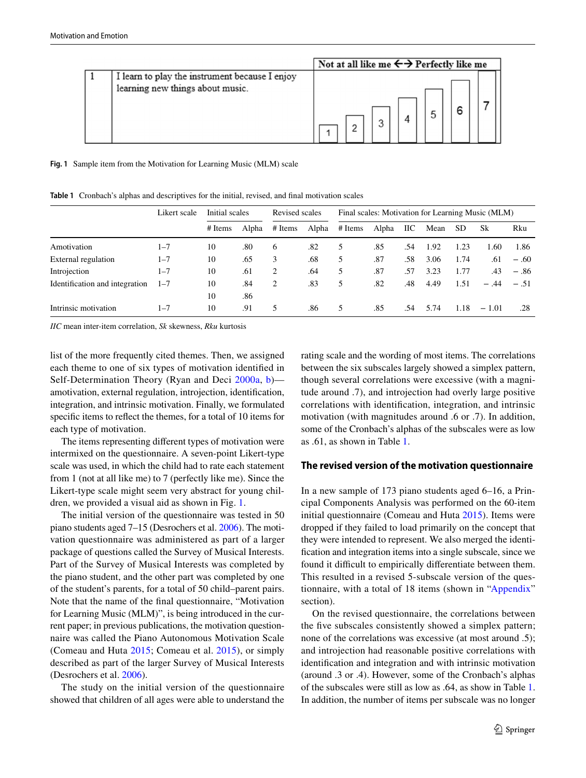|                                                | Not at all like me $\leftrightarrow$ Perfectly like me |
|------------------------------------------------|--------------------------------------------------------|
| I learn to play the instrument because I enjoy |                                                        |
| learning new things about music.               |                                                        |

<span id="page-2-0"></span>**Fig. 1** Sample item from the Motivation for Learning Music (MLM) scale

<span id="page-2-1"></span>**Table 1** Cronbach's alphas and descriptives for the initial, revised, and fnal motivation scales

|                                | Likert scale |          | Initial scales |         | Revised scales<br>Final scales: Motivation for Learning Music (MLM) |         |       |     |      |           |         |        |
|--------------------------------|--------------|----------|----------------|---------|---------------------------------------------------------------------|---------|-------|-----|------|-----------|---------|--------|
|                                |              | # Items  | Alpha          | # Items | Alpha                                                               | # Items | Alpha | ПC  | Mean | <b>SD</b> | Sk      | Rku    |
| Amotivation                    | $1 - 7$      | 10       | .80            | 6       | .82                                                                 | 5       | .85   | .54 | 1.92 | 1.23      | 1.60    | 1.86   |
| External regulation            | $1 - 7$      | 10       | .65            | 3       | .68                                                                 | 5       | .87   | .58 | 3.06 | 1.74      | .61     | $-.60$ |
| Introjection                   | $1 - 7$      | 10       | .61            | 2       | .64                                                                 | 5       | .87   | .57 | 3.23 | 1.77      | .43     | $-.86$ |
| Identification and integration | $1 - 7$      | 10<br>10 | .84<br>.86     | 2       | .83                                                                 | 5       | .82   | .48 | 4.49 | 1.51      | $-.44$  | $-51$  |
| Intrinsic motivation           | 1–7          | 10       | .91            | 5       | .86                                                                 | 5       | .85   | .54 | 5.74 | 1.18      | $-1.01$ | .28    |

*IIC* mean inter-item correlation, *Sk* skewness, *Rku* kurtosis

list of the more frequently cited themes. Then, we assigned each theme to one of six types of motivation identifed in Self-Determination Theory (Ryan and Deci [2000a](#page-12-8), [b\)](#page-12-9) amotivation, external regulation, introjection, identifcation, integration, and intrinsic motivation. Finally, we formulated specifc items to refect the themes, for a total of 10 items for each type of motivation.

The items representing diferent types of motivation were intermixed on the questionnaire. A seven-point Likert-type scale was used, in which the child had to rate each statement from 1 (not at all like me) to 7 (perfectly like me). Since the Likert-type scale might seem very abstract for young children, we provided a visual aid as shown in Fig. [1.](#page-2-0)

The initial version of the questionnaire was tested in 50 piano students aged 7–15 (Desrochers et al. [2006](#page-12-25)). The motivation questionnaire was administered as part of a larger package of questions called the Survey of Musical Interests. Part of the Survey of Musical Interests was completed by the piano student, and the other part was completed by one of the student's parents, for a total of 50 child–parent pairs. Note that the name of the fnal questionnaire, "Motivation for Learning Music (MLM)", is being introduced in the current paper; in previous publications, the motivation questionnaire was called the Piano Autonomous Motivation Scale (Comeau and Huta [2015](#page-11-4); Comeau et al. [2015\)](#page-11-1), or simply described as part of the larger Survey of Musical Interests (Desrochers et al. [2006](#page-12-25)).

The study on the initial version of the questionnaire showed that children of all ages were able to understand the rating scale and the wording of most items. The correlations between the six subscales largely showed a simplex pattern, though several correlations were excessive (with a magnitude around .7), and introjection had overly large positive correlations with identifcation, integration, and intrinsic motivation (with magnitudes around .6 or .7). In addition, some of the Cronbach's alphas of the subscales were as low as .61, as shown in Table [1](#page-2-1).

#### **The revised version of the motivation questionnaire**

In a new sample of 173 piano students aged 6–16, a Principal Components Analysis was performed on the 60-item initial questionnaire (Comeau and Huta [2015\)](#page-11-4). Items were dropped if they failed to load primarily on the concept that they were intended to represent. We also merged the identifcation and integration items into a single subscale, since we found it difficult to empirically differentiate between them. This resulted in a revised 5-subscale version of the questionnaire, with a total of 18 items (shown in ["Appendix"](#page-11-9) section).

On the revised questionnaire, the correlations between the five subscales consistently showed a simplex pattern; none of the correlations was excessive (at most around .5); and introjection had reasonable positive correlations with identifcation and integration and with intrinsic motivation (around .3 or .4). However, some of the Cronbach's alphas of the subscales were still as low as .64, as show in Table [1.](#page-2-1) In addition, the number of items per subscale was no longer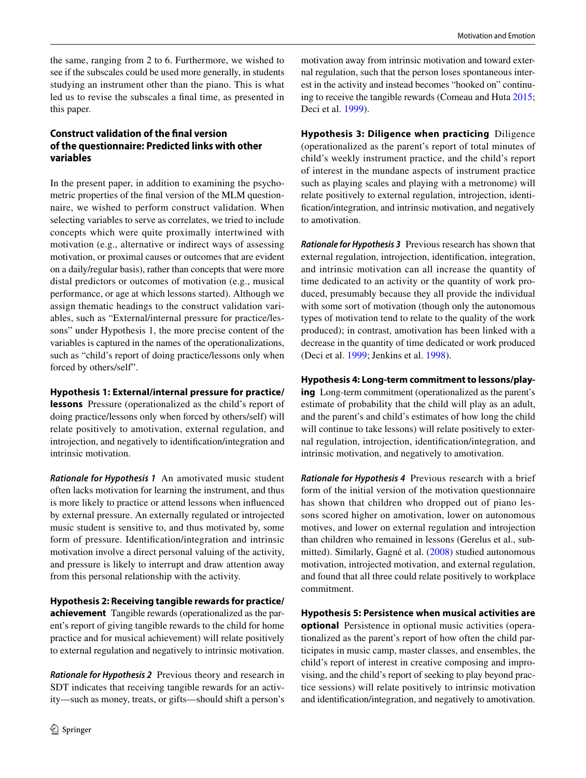the same, ranging from 2 to 6. Furthermore, we wished to see if the subscales could be used more generally, in students studying an instrument other than the piano. This is what led us to revise the subscales a fnal time, as presented in this paper.

# **Construct validation of the fnal version of the questionnaire: Predicted links with other variables**

In the present paper, in addition to examining the psychometric properties of the fnal version of the MLM questionnaire, we wished to perform construct validation. When selecting variables to serve as correlates, we tried to include concepts which were quite proximally intertwined with motivation (e.g., alternative or indirect ways of assessing motivation, or proximal causes or outcomes that are evident on a daily/regular basis), rather than concepts that were more distal predictors or outcomes of motivation (e.g., musical performance, or age at which lessons started). Although we assign thematic headings to the construct validation variables, such as "External/internal pressure for practice/lessons" under Hypothesis 1, the more precise content of the variables is captured in the names of the operationalizations, such as "child's report of doing practice/lessons only when forced by others/self".

## **Hypothesis 1: External/internal pressure for practice/**

**lessons** Pressure (operationalized as the child's report of doing practice/lessons only when forced by others/self) will relate positively to amotivation, external regulation, and introjection, and negatively to identifcation/integration and intrinsic motivation.

*Rationale for Hypothesis 1* An amotivated music student often lacks motivation for learning the instrument, and thus is more likely to practice or attend lessons when infuenced by external pressure. An externally regulated or introjected music student is sensitive to, and thus motivated by, some form of pressure. Identifcation/integration and intrinsic motivation involve a direct personal valuing of the activity, and pressure is likely to interrupt and draw attention away from this personal relationship with the activity.

**Hypothesis 2: Receiving tangible rewards for practice/ achievement** Tangible rewards (operationalized as the parent's report of giving tangible rewards to the child for home practice and for musical achievement) will relate positively to external regulation and negatively to intrinsic motivation.

*Rationale for Hypothesis 2* Previous theory and research in SDT indicates that receiving tangible rewards for an activity—such as money, treats, or gifts—should shift a person's motivation away from intrinsic motivation and toward external regulation, such that the person loses spontaneous interest in the activity and instead becomes "hooked on" continuing to receive the tangible rewards (Comeau and Huta [2015](#page-11-4); Deci et al. [1999\)](#page-12-26).

**Hypothesis 3: Diligence when practicing** Diligence (operationalized as the parent's report of total minutes of child's weekly instrument practice, and the child's report of interest in the mundane aspects of instrument practice such as playing scales and playing with a metronome) will relate positively to external regulation, introjection, identifcation/integration, and intrinsic motivation, and negatively to amotivation.

*Rationale for Hypothesis 3* Previous research has shown that external regulation, introjection, identifcation, integration, and intrinsic motivation can all increase the quantity of time dedicated to an activity or the quantity of work produced, presumably because they all provide the individual with some sort of motivation (though only the autonomous types of motivation tend to relate to the quality of the work produced); in contrast, amotivation has been linked with a decrease in the quantity of time dedicated or work produced (Deci et al. [1999](#page-12-26); Jenkins et al. [1998](#page-12-27)).

## **Hypothesis 4: Long‑term commitment to lessons/play‑**

**ing** Long-term commitment (operationalized as the parent's estimate of probability that the child will play as an adult, and the parent's and child's estimates of how long the child will continue to take lessons) will relate positively to external regulation, introjection, identifcation/integration, and intrinsic motivation, and negatively to amotivation.

*Rationale for Hypothesis 4* Previous research with a brief form of the initial version of the motivation questionnaire has shown that children who dropped out of piano lessons scored higher on amotivation, lower on autonomous motives, and lower on external regulation and introjection than children who remained in lessons (Gerelus et al., submitted). Similarly, Gagné et al. ([2008](#page-12-28)) studied autonomous motivation, introjected motivation, and external regulation, and found that all three could relate positively to workplace commitment.

**Hypothesis 5: Persistence when musical activities are optional** Persistence in optional music activities (operationalized as the parent's report of how often the child participates in music camp, master classes, and ensembles, the child's report of interest in creative composing and improvising, and the child's report of seeking to play beyond practice sessions) will relate positively to intrinsic motivation and identifcation/integration, and negatively to amotivation.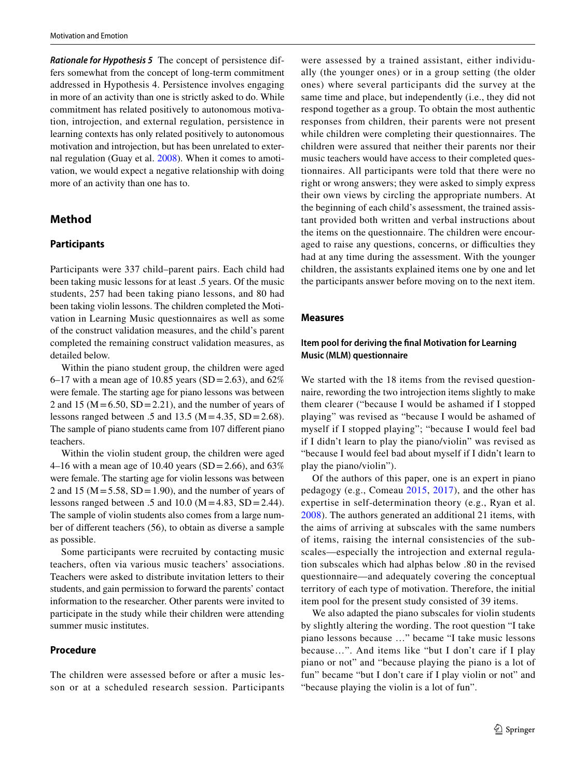*Rationale for Hypothesis 5* The concept of persistence differs somewhat from the concept of long-term commitment addressed in Hypothesis 4. Persistence involves engaging in more of an activity than one is strictly asked to do. While commitment has related positively to autonomous motivation, introjection, and external regulation, persistence in learning contexts has only related positively to autonomous motivation and introjection, but has been unrelated to external regulation (Guay et al. [2008](#page-12-29)). When it comes to amotivation, we would expect a negative relationship with doing more of an activity than one has to.

# **Method**

#### **Participants**

Participants were 337 child–parent pairs. Each child had been taking music lessons for at least .5 years. Of the music students, 257 had been taking piano lessons, and 80 had been taking violin lessons. The children completed the Motivation in Learning Music questionnaires as well as some of the construct validation measures, and the child's parent completed the remaining construct validation measures, as detailed below.

Within the piano student group, the children were aged 6–17 with a mean age of 10.85 years (SD=2.63), and  $62\%$ were female. The starting age for piano lessons was between 2 and 15 ( $M = 6.50$ ,  $SD = 2.21$ ), and the number of years of lessons ranged between .5 and 13.5 ( $M = 4.35$ ,  $SD = 2.68$ ). The sample of piano students came from 107 diferent piano teachers.

Within the violin student group, the children were aged 4–16 with a mean age of 10.40 years (SD=2.66), and  $63\%$ were female. The starting age for violin lessons was between 2 and 15 ( $M = 5.58$ ,  $SD = 1.90$ ), and the number of years of lessons ranged between .5 and 10.0 ( $M = 4.83$ ,  $SD = 2.44$ ). The sample of violin students also comes from a large number of diferent teachers (56), to obtain as diverse a sample as possible.

Some participants were recruited by contacting music teachers, often via various music teachers' associations. Teachers were asked to distribute invitation letters to their students, and gain permission to forward the parents' contact information to the researcher. Other parents were invited to participate in the study while their children were attending summer music institutes.

#### **Procedure**

The children were assessed before or after a music lesson or at a scheduled research session. Participants

were assessed by a trained assistant, either individually (the younger ones) or in a group setting (the older ones) where several participants did the survey at the same time and place, but independently (i.e., they did not respond together as a group. To obtain the most authentic responses from children, their parents were not present while children were completing their questionnaires. The children were assured that neither their parents nor their music teachers would have access to their completed questionnaires. All participants were told that there were no right or wrong answers; they were asked to simply express their own views by circling the appropriate numbers. At the beginning of each child's assessment, the trained assistant provided both written and verbal instructions about the items on the questionnaire. The children were encouraged to raise any questions, concerns, or difficulties they had at any time during the assessment. With the younger children, the assistants explained items one by one and let the participants answer before moving on to the next item.

#### **Measures**

### **Item pool for deriving the fnal Motivation for Learning Music (MLM) questionnaire**

We started with the 18 items from the revised questionnaire, rewording the two introjection items slightly to make them clearer ("because I would be ashamed if I stopped playing" was revised as "because I would be ashamed of myself if I stopped playing"; "because I would feel bad if I didn't learn to play the piano/violin" was revised as "because I would feel bad about myself if I didn't learn to play the piano/violin").

Of the authors of this paper, one is an expert in piano pedagogy (e.g., Comeau [2015](#page-11-10), [2017](#page-11-11)), and the other has expertise in self-determination theory (e.g., Ryan et al. [2008\)](#page-12-30). The authors generated an additional 21 items, with the aims of arriving at subscales with the same numbers of items, raising the internal consistencies of the subscales—especially the introjection and external regulation subscales which had alphas below .80 in the revised questionnaire—and adequately covering the conceptual territory of each type of motivation. Therefore, the initial item pool for the present study consisted of 39 items.

We also adapted the piano subscales for violin students by slightly altering the wording. The root question "I take piano lessons because …" became "I take music lessons because…". And items like "but I don't care if I play piano or not" and "because playing the piano is a lot of fun" became "but I don't care if I play violin or not" and "because playing the violin is a lot of fun".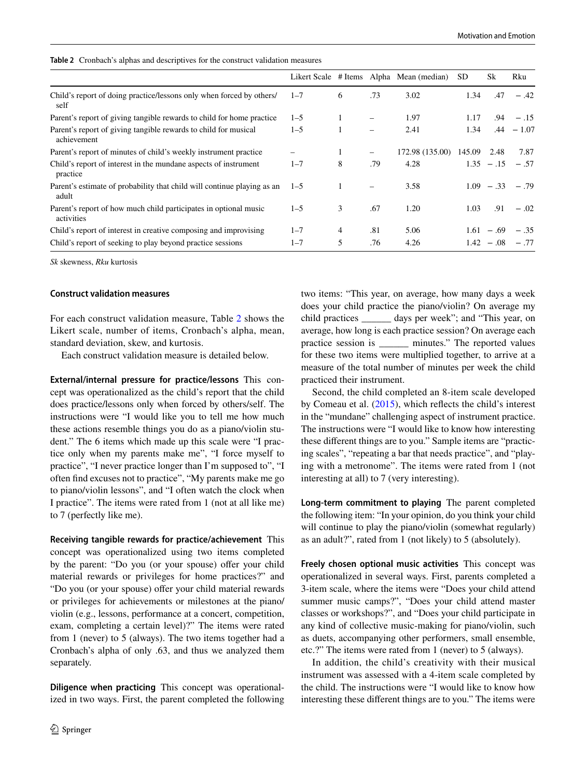|                                                                                  |         |   |                   | Likert Scale # Items Alpha Mean (median) | <b>SD</b> | Sk            | Rku     |
|----------------------------------------------------------------------------------|---------|---|-------------------|------------------------------------------|-----------|---------------|---------|
| Child's report of doing practice/lessons only when forced by others/<br>self     | $1 - 7$ | 6 | .73               | 3.02                                     | 1.34      | .47           | $-.42$  |
| Parent's report of giving tangible rewards to child for home practice            | $1 - 5$ |   |                   | 1.97                                     | 1.17      | .94           | $-.15$  |
| Parent's report of giving tangible rewards to child for musical<br>achievement   | $1 - 5$ |   |                   | 2.41                                     | 1.34      | .44           | $-1.07$ |
| Parent's report of minutes of child's weekly instrument practice                 |         |   |                   | 172.98 (135.00)                          | 145.09    | 2.48          | 7.87    |
| Child's report of interest in the mundane aspects of instrument<br>practice      | $1 - 7$ | 8 | .79               | 4.28                                     |           | $1.35 - 1.5$  | $-.57$  |
| Parent's estimate of probability that child will continue playing as an<br>adult | $1 - 5$ |   | $\qquad \qquad -$ | 3.58                                     |           | $1.09 - 0.33$ | $-.79$  |
| Parent's report of how much child participates in optional music<br>activities   | $1 - 5$ | 3 | .67               | 1.20                                     | 1.03      | .91           | $-.02$  |
| Child's report of interest in creative composing and improvising                 | $1 - 7$ | 4 | .81               | 5.06                                     |           | $1.61 - .69$  | $-.35$  |
| Child's report of seeking to play beyond practice sessions                       | $1 - 7$ | 5 | .76               | 4.26                                     |           | $1.42 - 0.08$ | $-.77$  |

<span id="page-5-0"></span>**Table 2** Cronbach's alphas and descriptives for the construct validation measures

*Sk* skewness, *Rku* kurtosis

#### **Construct validation measures**

For each construct validation measure, Table [2](#page-5-0) shows the Likert scale, number of items, Cronbach's alpha, mean, standard deviation, skew, and kurtosis.

Each construct validation measure is detailed below.

**External/internal pressure for practice/lessons** This concept was operationalized as the child's report that the child does practice/lessons only when forced by others/self. The instructions were "I would like you to tell me how much these actions resemble things you do as a piano/violin student." The 6 items which made up this scale were "I practice only when my parents make me", "I force myself to practice", "I never practice longer than I'm supposed to", "I often fnd excuses not to practice", "My parents make me go to piano/violin lessons", and "I often watch the clock when I practice". The items were rated from 1 (not at all like me) to 7 (perfectly like me).

**Receiving tangible rewards for practice/achievement** This concept was operationalized using two items completed by the parent: "Do you (or your spouse) offer your child material rewards or privileges for home practices?" and "Do you (or your spouse) offer your child material rewards or privileges for achievements or milestones at the piano/ violin (e.g., lessons, performance at a concert, competition, exam, completing a certain level)?" The items were rated from 1 (never) to 5 (always). The two items together had a Cronbach's alpha of only .63, and thus we analyzed them separately.

**Diligence when practicing** This concept was operationalized in two ways. First, the parent completed the following two items: "This year, on average, how many days a week does your child practice the piano/violin? On average my child practices \_\_\_\_\_\_ days per week"; and "This year, on average, how long is each practice session? On average each practice session is \_\_\_\_\_\_ minutes." The reported values for these two items were multiplied together, to arrive at a measure of the total number of minutes per week the child practiced their instrument.

Second, the child completed an 8-item scale developed by Comeau et al. [\(2015\)](#page-11-1), which refects the child's interest in the "mundane" challenging aspect of instrument practice. The instructions were "I would like to know how interesting these diferent things are to you." Sample items are "practicing scales", "repeating a bar that needs practice", and "playing with a metronome". The items were rated from 1 (not interesting at all) to 7 (very interesting).

**Long‑term commitment to playing** The parent completed the following item: "In your opinion, do you think your child will continue to play the piano/violin (somewhat regularly) as an adult?", rated from 1 (not likely) to 5 (absolutely).

**Freely chosen optional music activities** This concept was operationalized in several ways. First, parents completed a 3-item scale, where the items were "Does your child attend summer music camps?", "Does your child attend master classes or workshops?", and "Does your child participate in any kind of collective music-making for piano/violin, such as duets, accompanying other performers, small ensemble, etc.?" The items were rated from 1 (never) to 5 (always).

In addition, the child's creativity with their musical instrument was assessed with a 4-item scale completed by the child. The instructions were "I would like to know how interesting these diferent things are to you." The items were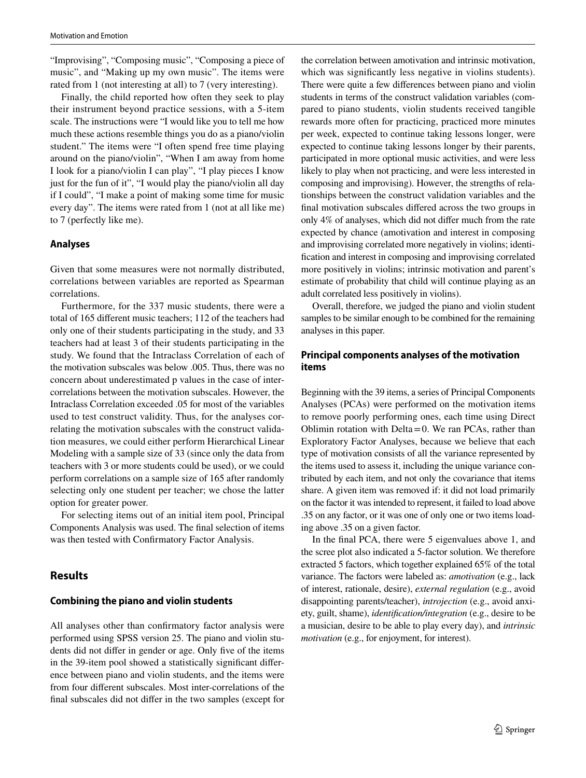"Improvising", "Composing music", "Composing a piece of music", and "Making up my own music". The items were rated from 1 (not interesting at all) to 7 (very interesting).

Finally, the child reported how often they seek to play their instrument beyond practice sessions, with a 5-item scale. The instructions were "I would like you to tell me how much these actions resemble things you do as a piano/violin student." The items were "I often spend free time playing around on the piano/violin", "When I am away from home I look for a piano/violin I can play", "I play pieces I know just for the fun of it", "I would play the piano/violin all day if I could", "I make a point of making some time for music every day". The items were rated from 1 (not at all like me) to 7 (perfectly like me).

#### **Analyses**

Given that some measures were not normally distributed, correlations between variables are reported as Spearman correlations.

Furthermore, for the 337 music students, there were a total of 165 diferent music teachers; 112 of the teachers had only one of their students participating in the study, and 33 teachers had at least 3 of their students participating in the study. We found that the Intraclass Correlation of each of the motivation subscales was below .005. Thus, there was no concern about underestimated p values in the case of intercorrelations between the motivation subscales. However, the Intraclass Correlation exceeded .05 for most of the variables used to test construct validity. Thus, for the analyses correlating the motivation subscales with the construct validation measures, we could either perform Hierarchical Linear Modeling with a sample size of 33 (since only the data from teachers with 3 or more students could be used), or we could perform correlations on a sample size of 165 after randomly selecting only one student per teacher; we chose the latter option for greater power.

For selecting items out of an initial item pool, Principal Components Analysis was used. The fnal selection of items was then tested with Confrmatory Factor Analysis.

#### **Results**

#### **Combining the piano and violin students**

All analyses other than confrmatory factor analysis were performed using SPSS version 25. The piano and violin students did not difer in gender or age. Only fve of the items in the 39-item pool showed a statistically signifcant diference between piano and violin students, and the items were from four diferent subscales. Most inter-correlations of the fnal subscales did not difer in the two samples (except for the correlation between amotivation and intrinsic motivation, which was significantly less negative in violins students). There were quite a few diferences between piano and violin students in terms of the construct validation variables (compared to piano students, violin students received tangible rewards more often for practicing, practiced more minutes per week, expected to continue taking lessons longer, were expected to continue taking lessons longer by their parents, participated in more optional music activities, and were less likely to play when not practicing, and were less interested in composing and improvising). However, the strengths of relationships between the construct validation variables and the fnal motivation subscales difered across the two groups in only 4% of analyses, which did not difer much from the rate expected by chance (amotivation and interest in composing and improvising correlated more negatively in violins; identifcation and interest in composing and improvising correlated more positively in violins; intrinsic motivation and parent's estimate of probability that child will continue playing as an adult correlated less positively in violins).

Overall, therefore, we judged the piano and violin student samples to be similar enough to be combined for the remaining analyses in this paper.

### **Principal components analyses of the motivation items**

Beginning with the 39 items, a series of Principal Components Analyses (PCAs) were performed on the motivation items to remove poorly performing ones, each time using Direct Oblimin rotation with  $Delta=0$ . We ran PCAs, rather than Exploratory Factor Analyses, because we believe that each type of motivation consists of all the variance represented by the items used to assess it, including the unique variance contributed by each item, and not only the covariance that items share. A given item was removed if: it did not load primarily on the factor it was intended to represent, it failed to load above .35 on any factor, or it was one of only one or two items loading above .35 on a given factor.

In the fnal PCA, there were 5 eigenvalues above 1, and the scree plot also indicated a 5-factor solution. We therefore extracted 5 factors, which together explained 65% of the total variance. The factors were labeled as: *amotivation* (e.g., lack of interest, rationale, desire), *external regulation* (e.g., avoid disappointing parents/teacher), *introjection* (e.g., avoid anxiety, guilt, shame), *identifcation/integration* (e.g., desire to be a musician, desire to be able to play every day), and *intrinsic motivation* (e.g., for enjoyment, for interest).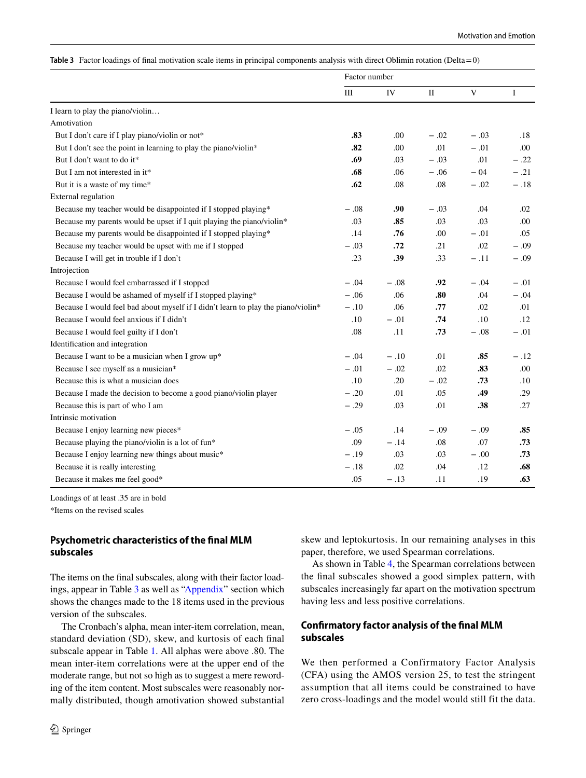<span id="page-7-0"></span>

|  |  |  |  | Table 3 Factor loadings of final motivation scale items in principal components analysis with direct Oblimin rotation (Delta=0) |  |  |  |
|--|--|--|--|---------------------------------------------------------------------------------------------------------------------------------|--|--|--|
|--|--|--|--|---------------------------------------------------------------------------------------------------------------------------------|--|--|--|

|                                                                                   | Factor number |        |              |        |        |
|-----------------------------------------------------------------------------------|---------------|--------|--------------|--------|--------|
|                                                                                   | Ш             | IV     | $\mathbf{I}$ | V      | I      |
| I learn to play the piano/violin                                                  |               |        |              |        |        |
| Amotivation                                                                       |               |        |              |        |        |
| But I don't care if I play piano/violin or not*                                   | .83           | .00.   | $-.02$       | $-.03$ | .18    |
| But I don't see the point in learning to play the piano/violin*                   | .82           | .00    | .01          | $-.01$ | .00    |
| But I don't want to do it*                                                        | .69           | .03    | $-.03$       | .01    | $-.22$ |
| But I am not interested in it*                                                    | .68           | .06    | $-.06$       | $-04$  | $-.21$ |
| But it is a waste of my time*                                                     | .62           | .08    | .08          | $-.02$ | $-.18$ |
| External regulation                                                               |               |        |              |        |        |
| Because my teacher would be disappointed if I stopped playing*                    | $-.08$        | .90    | $-.03$       | .04    | .02    |
| Because my parents would be upset if I quit playing the piano/violin*             | .03           | .85    | .03          | .03    | .00    |
| Because my parents would be disappointed if I stopped playing*                    | .14           | .76    | .00          | $-.01$ | .05    |
| Because my teacher would be upset with me if I stopped                            | $-.03$        | .72    | .21          | .02    | $-.09$ |
| Because I will get in trouble if I don't                                          | .23           | .39    | .33          | $-.11$ | $-.09$ |
| Introjection                                                                      |               |        |              |        |        |
| Because I would feel embarrassed if I stopped                                     | $-.04$        | $-.08$ | .92          | $-.04$ | $-.01$ |
| Because I would be ashamed of myself if I stopped playing*                        | $-.06$        | .06    | .80          | .04    | $-.04$ |
| Because I would feel bad about myself if I didn't learn to play the piano/violin* | $-.10$        | .06    | .77          | .02    | .01    |
| Because I would feel anxious if I didn't                                          | .10           | $-.01$ | .74          | .10    | .12    |
| Because I would feel guilty if I don't                                            | .08           | .11    | .73          | $-.08$ | $-.01$ |
| Identification and integration                                                    |               |        |              |        |        |
| Because I want to be a musician when I grow up*                                   | $-.04$        | $-.10$ | .01          | .85    | $-.12$ |
| Because I see myself as a musician*                                               | $-.01$        | $-.02$ | .02          | .83    | .00    |
| Because this is what a musician does                                              | $.10\,$       | .20    | $-.02$       | .73    | .10    |
| Because I made the decision to become a good piano/violin player                  | $-.20$        | .01    | .05          | .49    | .29    |
| Because this is part of who I am                                                  | $-.29$        | .03    | .01          | .38    | .27    |
| Intrinsic motivation                                                              |               |        |              |        |        |
| Because I enjoy learning new pieces*                                              | $-.05$        | .14    | $-.09$       | $-.09$ | .85    |
| Because playing the piano/violin is a lot of fun*                                 | .09           | $-.14$ | .08          | .07    | .73    |
| Because I enjoy learning new things about music*                                  | $-.19$        | .03    | .03          | $-.00$ | .73    |
| Because it is really interesting                                                  | $-.18$        | .02    | .04          | .12    | .68    |
| Because it makes me feel good*                                                    | .05           | $-.13$ | .11          | .19    | .63    |

Loadings of at least .35 are in bold

\*Items on the revised scales

# **Psychometric characteristics of the fnal MLM subscales**

The items on the fnal subscales, along with their factor loadings, appear in Table [3](#page-7-0) as well as ["Appendix](#page-11-9)" section which shows the changes made to the 18 items used in the previous version of the subscales.

The Cronbach's alpha, mean inter-item correlation, mean, standard deviation (SD), skew, and kurtosis of each fnal subscale appear in Table [1](#page-2-1). All alphas were above .80. The mean inter-item correlations were at the upper end of the moderate range, but not so high as to suggest a mere rewording of the item content. Most subscales were reasonably normally distributed, though amotivation showed substantial skew and leptokurtosis. In our remaining analyses in this paper, therefore, we used Spearman correlations.

As shown in Table [4](#page-8-0), the Spearman correlations between the fnal subscales showed a good simplex pattern, with subscales increasingly far apart on the motivation spectrum having less and less positive correlations.

## **Confrmatory factor analysis of the fnal MLM subscales**

We then performed a Confirmatory Factor Analysis (CFA) using the AMOS version 25, to test the stringent assumption that all items could be constrained to have zero cross-loadings and the model would still fit the data.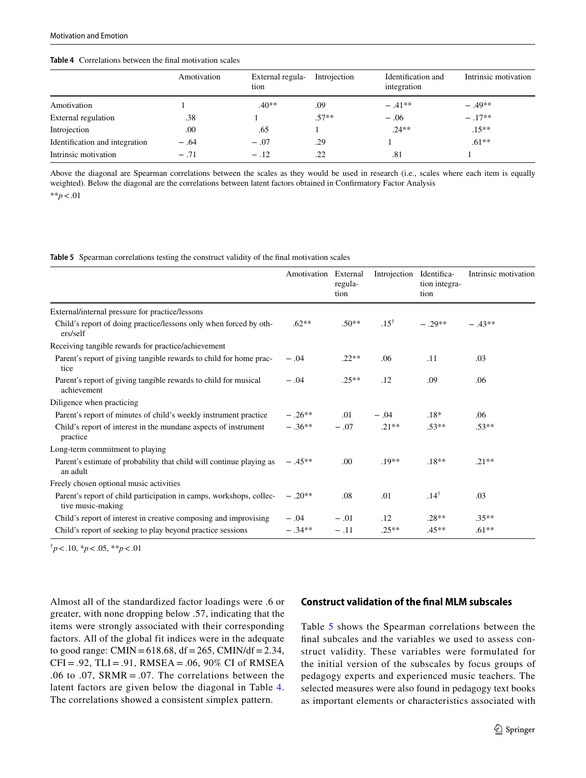#### <span id="page-8-0"></span>**Table 4** Correlations between the fnal motivation scales

|                                | Amotivation | External regula-<br>tion | Introjection | Identification and<br>integration | Intrinsic motivation |
|--------------------------------|-------------|--------------------------|--------------|-----------------------------------|----------------------|
| Amotivation                    |             | $.40**$                  | .09          | $-.41**$                          | $-.49**$             |
| External regulation            | .38         |                          | $.57**$      | $-.06$                            | $-.17**$             |
| Introjection                   | .00.        | .65                      |              | $.24**$                           | $.15**$              |
| Identification and integration | $-.64$      | $-.07$                   | .29          |                                   | $.61**$              |
| Intrinsic motivation           | $-.71$      | $-.12$                   | .22          | .81                               |                      |

Above the diagonal are Spearman correlations between the scales as they would be used in research (i.e., scales where each item is equally weighted). Below the diagonal are the correlations between latent factors obtained in Confrmatory Factor Analysis \*\**p*<.01

<span id="page-8-1"></span>**Table 5** Spearman correlations testing the construct validity of the fnal motivation scales

|                                                                                          | Amotivation | External<br>regula-<br>tion | Introjection    | Identifica-<br>tion integra-<br>tion | Intrinsic motivation |
|------------------------------------------------------------------------------------------|-------------|-----------------------------|-----------------|--------------------------------------|----------------------|
| External/internal pressure for practice/lessons                                          |             |                             |                 |                                      |                      |
| Child's report of doing practice/lessons only when forced by oth-<br>ers/self            | $.62**$     | $.50**$                     | $.15^{\dagger}$ | $-.29**$                             | $-.43**$             |
| Receiving tangible rewards for practice/achievement                                      |             |                             |                 |                                      |                      |
| Parent's report of giving tangible rewards to child for home prac-<br>tice               | $-.04$      | $.22**$                     | .06             | .11                                  | .03                  |
| Parent's report of giving tangible rewards to child for musical<br>achievement           | $-.04$      | $.25**$                     | .12             | .09                                  | .06                  |
| Diligence when practicing                                                                |             |                             |                 |                                      |                      |
| Parent's report of minutes of child's weekly instrument practice                         | $-.26**$    | .01                         | $-.04$          | $.18*$                               | .06                  |
| Child's report of interest in the mundane aspects of instrument<br>practice              | $-.36**$    | $-.07$                      | $.21**$         | $.53**$                              | $.53**$              |
| Long-term commitment to playing                                                          |             |                             |                 |                                      |                      |
| Parent's estimate of probability that child will continue playing as<br>an adult         | $-.45**$    | .00 <sub>1</sub>            | $.19**$         | $.18**$                              | $.21**$              |
| Freely chosen optional music activities                                                  |             |                             |                 |                                      |                      |
| Parent's report of child participation in camps, workshops, collec-<br>tive music-making | $-.20**$    | .08                         | .01             | $.14^{\dagger}$                      | .03                  |
| Child's report of interest in creative composing and improvising                         | $-.04$      | $-.01$                      | .12             | $.28**$                              | $.35**$              |
| Child's report of seeking to play beyond practice sessions                               | $-.34**$    | $-.11$                      | $.25**$         | $.45**$                              | $.61**$              |

 $\frac{1}{p}$  < .10,  $\frac{1}{p}$  < .05,  $\frac{1}{p}$  < .01

Almost all of the standardized factor loadings were .6 or greater, with none dropping below .57, indicating that the items were strongly associated with their corresponding factors. All of the global fit indices were in the adequate to good range: CMIN =  $618.68$ , df =  $265$ , CMIN/df =  $2.34$ ,  $CFI = .92$ ,  $TLI = .91$ ,  $RMSEA = .06$ ,  $90\%$  CI of  $RMSEA$ .06 to .07, SRMR = .07. The correlations between the latent factors are given below the diagonal in Table [4.](#page-8-0) The correlations showed a consistent simplex pattern.

#### **Construct validation of the fnal MLM subscales**

Table [5](#page-8-1) shows the Spearman correlations between the fnal subcales and the variables we used to assess construct validity. These variables were formulated for the initial version of the subscales by focus groups of pedagogy experts and experienced music teachers. The selected measures were also found in pedagogy text books as important elements or characteristics associated with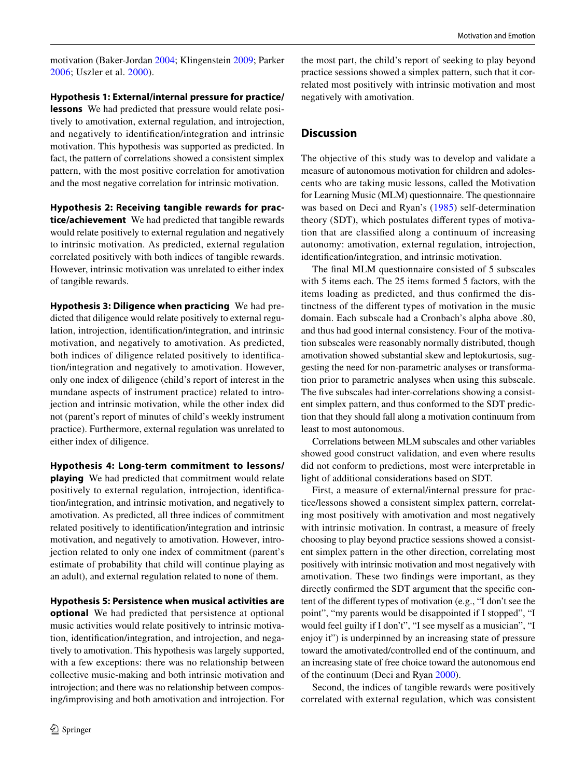motivation (Baker-Jordan [2004;](#page-11-12) Klingenstein [2009;](#page-12-31) Parker [2006;](#page-12-32) Uszler et al. [2000\)](#page-12-33).

**Hypothesis 1: External/internal pressure for practice/ lessons** We had predicted that pressure would relate positively to amotivation, external regulation, and introjection, and negatively to identifcation/integration and intrinsic motivation. This hypothesis was supported as predicted. In fact, the pattern of correlations showed a consistent simplex pattern, with the most positive correlation for amotivation and the most negative correlation for intrinsic motivation.

**Hypothesis 2: Receiving tangible rewards for prac‑ tice/achievement** We had predicted that tangible rewards would relate positively to external regulation and negatively to intrinsic motivation. As predicted, external regulation correlated positively with both indices of tangible rewards. However, intrinsic motivation was unrelated to either index of tangible rewards.

**Hypothesis 3: Diligence when practicing** We had predicted that diligence would relate positively to external regulation, introjection, identifcation/integration, and intrinsic motivation, and negatively to amotivation. As predicted, both indices of diligence related positively to identifcation/integration and negatively to amotivation. However, only one index of diligence (child's report of interest in the mundane aspects of instrument practice) related to introjection and intrinsic motivation, while the other index did not (parent's report of minutes of child's weekly instrument practice). Furthermore, external regulation was unrelated to either index of diligence.

**Hypothesis 4: Long‑term commitment to lessons/ playing** We had predicted that commitment would relate positively to external regulation, introjection, identifcation/integration, and intrinsic motivation, and negatively to amotivation. As predicted, all three indices of commitment related positively to identifcation/integration and intrinsic motivation, and negatively to amotivation. However, introjection related to only one index of commitment (parent's estimate of probability that child will continue playing as an adult), and external regulation related to none of them.

**Hypothesis 5: Persistence when musical activities are** 

**optional** We had predicted that persistence at optional music activities would relate positively to intrinsic motivation, identifcation/integration, and introjection, and negatively to amotivation. This hypothesis was largely supported, with a few exceptions: there was no relationship between collective music-making and both intrinsic motivation and introjection; and there was no relationship between composing/improvising and both amotivation and introjection. For the most part, the child's report of seeking to play beyond practice sessions showed a simplex pattern, such that it correlated most positively with intrinsic motivation and most negatively with amotivation.

# **Discussion**

The objective of this study was to develop and validate a measure of autonomous motivation for children and adolescents who are taking music lessons, called the Motivation for Learning Music (MLM) questionnaire. The questionnaire was based on Deci and Ryan's ([1985](#page-12-0)) self-determination theory (SDT), which postulates diferent types of motivation that are classifed along a continuum of increasing autonomy: amotivation, external regulation, introjection, identifcation/integration, and intrinsic motivation.

The fnal MLM questionnaire consisted of 5 subscales with 5 items each. The 25 items formed 5 factors, with the items loading as predicted, and thus confrmed the distinctness of the diferent types of motivation in the music domain. Each subscale had a Cronbach's alpha above .80, and thus had good internal consistency. Four of the motivation subscales were reasonably normally distributed, though amotivation showed substantial skew and leptokurtosis, suggesting the need for non-parametric analyses or transformation prior to parametric analyses when using this subscale. The five subscales had inter-correlations showing a consistent simplex pattern, and thus conformed to the SDT prediction that they should fall along a motivation continuum from least to most autonomous.

Correlations between MLM subscales and other variables showed good construct validation, and even where results did not conform to predictions, most were interpretable in light of additional considerations based on SDT.

First, a measure of external/internal pressure for practice/lessons showed a consistent simplex pattern, correlating most positively with amotivation and most negatively with intrinsic motivation. In contrast, a measure of freely choosing to play beyond practice sessions showed a consistent simplex pattern in the other direction, correlating most positively with intrinsic motivation and most negatively with amotivation. These two fndings were important, as they directly confrmed the SDT argument that the specifc content of the diferent types of motivation (e.g., "I don't see the point", "my parents would be disappointed if I stopped", "I would feel guilty if I don't", "I see myself as a musician", "I enjoy it") is underpinned by an increasing state of pressure toward the amotivated/controlled end of the continuum, and an increasing state of free choice toward the autonomous end of the continuum (Deci and Ryan [2000\)](#page-12-34).

Second, the indices of tangible rewards were positively correlated with external regulation, which was consistent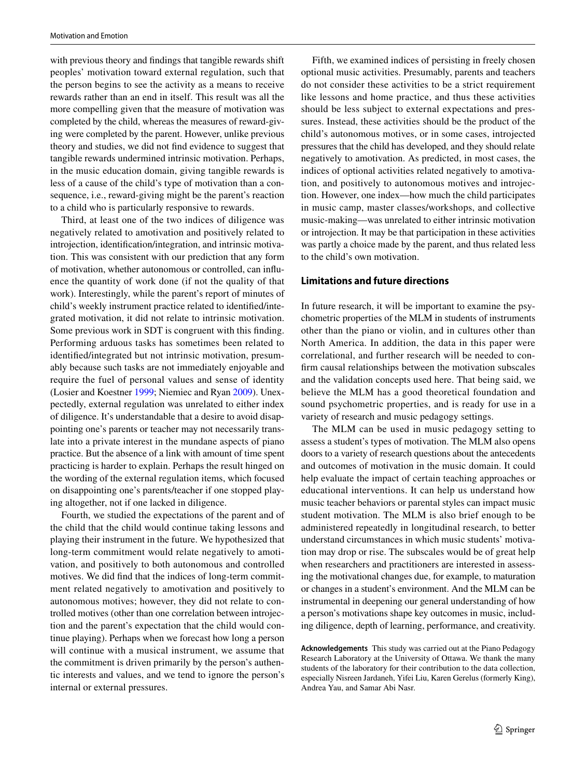with previous theory and fndings that tangible rewards shift peoples' motivation toward external regulation, such that the person begins to see the activity as a means to receive rewards rather than an end in itself. This result was all the more compelling given that the measure of motivation was completed by the child, whereas the measures of reward-giving were completed by the parent. However, unlike previous theory and studies, we did not fnd evidence to suggest that tangible rewards undermined intrinsic motivation. Perhaps, in the music education domain, giving tangible rewards is less of a cause of the child's type of motivation than a consequence, i.e., reward-giving might be the parent's reaction to a child who is particularly responsive to rewards.

Third, at least one of the two indices of diligence was negatively related to amotivation and positively related to introjection, identifcation/integration, and intrinsic motivation. This was consistent with our prediction that any form of motivation, whether autonomous or controlled, can infuence the quantity of work done (if not the quality of that work). Interestingly, while the parent's report of minutes of child's weekly instrument practice related to identifed/integrated motivation, it did not relate to intrinsic motivation. Some previous work in SDT is congruent with this fnding. Performing arduous tasks has sometimes been related to identifed/integrated but not intrinsic motivation, presumably because such tasks are not immediately enjoyable and require the fuel of personal values and sense of identity (Losier and Koestner [1999](#page-12-35); Niemiec and Ryan [2009\)](#page-12-36). Unexpectedly, external regulation was unrelated to either index of diligence. It's understandable that a desire to avoid disappointing one's parents or teacher may not necessarily translate into a private interest in the mundane aspects of piano practice. But the absence of a link with amount of time spent practicing is harder to explain. Perhaps the result hinged on the wording of the external regulation items, which focused on disappointing one's parents/teacher if one stopped playing altogether, not if one lacked in diligence.

Fourth, we studied the expectations of the parent and of the child that the child would continue taking lessons and playing their instrument in the future. We hypothesized that long-term commitment would relate negatively to amotivation, and positively to both autonomous and controlled motives. We did fnd that the indices of long-term commitment related negatively to amotivation and positively to autonomous motives; however, they did not relate to controlled motives (other than one correlation between introjection and the parent's expectation that the child would continue playing). Perhaps when we forecast how long a person will continue with a musical instrument, we assume that the commitment is driven primarily by the person's authentic interests and values, and we tend to ignore the person's internal or external pressures.

Fifth, we examined indices of persisting in freely chosen optional music activities. Presumably, parents and teachers do not consider these activities to be a strict requirement like lessons and home practice, and thus these activities should be less subject to external expectations and pressures. Instead, these activities should be the product of the child's autonomous motives, or in some cases, introjected pressures that the child has developed, and they should relate negatively to amotivation. As predicted, in most cases, the indices of optional activities related negatively to amotivation, and positively to autonomous motives and introjection. However, one index—how much the child participates in music camp, master classes/workshops, and collective music-making—was unrelated to either intrinsic motivation or introjection. It may be that participation in these activities was partly a choice made by the parent, and thus related less to the child's own motivation.

#### **Limitations and future directions**

In future research, it will be important to examine the psychometric properties of the MLM in students of instruments other than the piano or violin, and in cultures other than North America. In addition, the data in this paper were correlational, and further research will be needed to confrm causal relationships between the motivation subscales and the validation concepts used here. That being said, we believe the MLM has a good theoretical foundation and sound psychometric properties, and is ready for use in a variety of research and music pedagogy settings.

The MLM can be used in music pedagogy setting to assess a student's types of motivation. The MLM also opens doors to a variety of research questions about the antecedents and outcomes of motivation in the music domain. It could help evaluate the impact of certain teaching approaches or educational interventions. It can help us understand how music teacher behaviors or parental styles can impact music student motivation. The MLM is also brief enough to be administered repeatedly in longitudinal research, to better understand circumstances in which music students' motivation may drop or rise. The subscales would be of great help when researchers and practitioners are interested in assessing the motivational changes due, for example, to maturation or changes in a student's environment. And the MLM can be instrumental in deepening our general understanding of how a person's motivations shape key outcomes in music, including diligence, depth of learning, performance, and creativity.

**Acknowledgements** This study was carried out at the Piano Pedagogy Research Laboratory at the University of Ottawa. We thank the many students of the laboratory for their contribution to the data collection, especially Nisreen Jardaneh, Yifei Liu, Karen Gerelus (formerly King), Andrea Yau, and Samar Abi Nasr.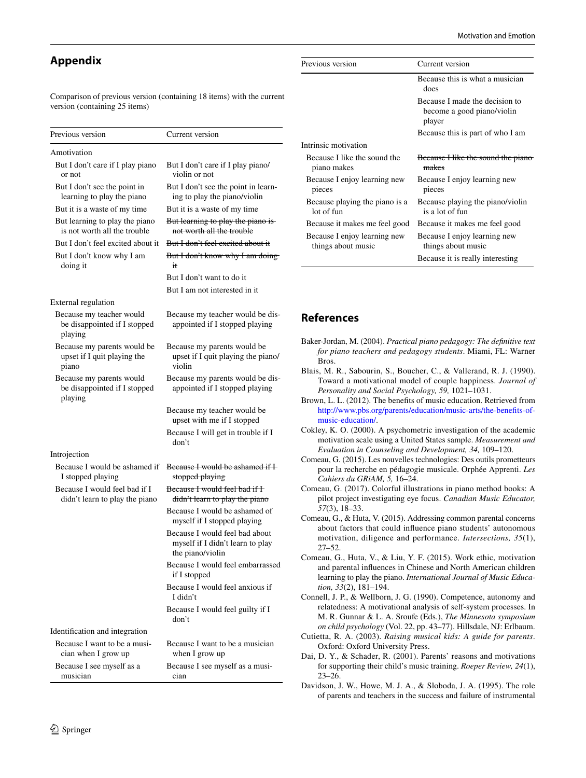# <span id="page-11-9"></span>**Appendix**

Comparison of previous version (containing 18 items) with the current version (containing 25 items)

| Previous version                                                    | Current version                                                                        |
|---------------------------------------------------------------------|----------------------------------------------------------------------------------------|
| Amotivation                                                         |                                                                                        |
| But I don't care if I play piano<br>or not                          | But I don't care if I play piano/<br>violin or not                                     |
| But I don't see the point in<br>learning to play the piano          | But I don't see the point in learn-<br>ing to play the piano/violin                    |
| But it is a waste of my time                                        | But it is a waste of my time                                                           |
| But learning to play the piano<br>is not worth all the trouble      | But learning to play the piano is-<br>not worth all the trouble                        |
| But I don't feel excited about it                                   | But I don't feel excited about it                                                      |
| But I don't know why I am<br>doing it                               | But I don't know why I am doing-<br>Ħ.                                                 |
|                                                                     | But I don't want to do it                                                              |
|                                                                     | But I am not interested in it                                                          |
| External regulation                                                 |                                                                                        |
| Because my teacher would<br>be disappointed if I stopped<br>playing | Because my teacher would be dis-<br>appointed if I stopped playing                     |
| Because my parents would be<br>upset if I quit playing the<br>piano | Because my parents would be<br>upset if I quit playing the piano/<br>violin            |
| Because my parents would<br>be disappointed if I stopped<br>playing | Because my parents would be dis-<br>appointed if I stopped playing                     |
|                                                                     | Because my teacher would be<br>upset with me if I stopped                              |
|                                                                     | Because I will get in trouble if I<br>don't                                            |
| Introjection                                                        |                                                                                        |
| Because I would be ashamed if<br>I stopped playing                  | Because I would be ashamed if I<br>stopped playing                                     |
| Because I would feel bad if I<br>didn't learn to play the piano     | Because I would feel bad if I<br>didn't learn to play the piano                        |
|                                                                     | Because I would be ashamed of<br>myself if I stopped playing                           |
|                                                                     | Because I would feel bad about<br>myself if I didn't learn to play<br>the piano/violin |
|                                                                     | Because I would feel embarrassed<br>if I stopped                                       |
|                                                                     | Because I would feel anxious if<br>I didn't                                            |
|                                                                     | Because I would feel guilty if I<br>don't                                              |
| Identification and integration                                      |                                                                                        |
| Because I want to be a musi-<br>cian when I grow up                 | Because I want to be a musician<br>when I grow up                                      |
| Because I see myself as a<br>musician                               | Because I see myself as a musi-<br>cian                                                |

| Previous version                                   | Current version                                                        |  |  |  |  |
|----------------------------------------------------|------------------------------------------------------------------------|--|--|--|--|
|                                                    | Because this is what a musician<br>does                                |  |  |  |  |
|                                                    | Because I made the decision to<br>become a good piano/violin<br>player |  |  |  |  |
|                                                    | Because this is part of who I am                                       |  |  |  |  |
| Intrinsic motivation                               |                                                                        |  |  |  |  |
| Because I like the sound the<br>piano makes        | Because I like the sound the piano<br>makes                            |  |  |  |  |
| Because I enjoy learning new<br>pieces             | Because I enjoy learning new<br>pieces                                 |  |  |  |  |
| Because playing the piano is a<br>lot of fun       | Because playing the piano/violin<br>is a lot of fun                    |  |  |  |  |
| Because it makes me feel good                      | Because it makes me feel good                                          |  |  |  |  |
| Because I enjoy learning new<br>things about music | Because I enjoy learning new<br>things about music                     |  |  |  |  |
|                                                    | Because it is really interesting                                       |  |  |  |  |

# **References**

<span id="page-11-12"></span>Baker-Jordan, M. (2004). *Practical piano pedagogy: The defnitive text for piano teachers and pedagogy students*. Miami, FL: Warner Bros.

<span id="page-11-8"></span>Blais, M. R., Sabourin, S., Boucher, C., & Vallerand, R. J. (1990). Toward a motivational model of couple happiness. *Journal of Personality and Social Psychology, 59,* 1021–1031.

<span id="page-11-0"></span>Brown, L. L. (2012). The benefts of music education. Retrieved from [http://www.pbs.org/parents/education/music-arts/the-benefits-of](http://www.pbs.org/parents/education/music-arts/the-benefits-of-music-education/)[music-education/](http://www.pbs.org/parents/education/music-arts/the-benefits-of-music-education/).

<span id="page-11-7"></span>Cokley, K. O. (2000). A psychometric investigation of the academic motivation scale using a United States sample. *Measurement and Evaluation in Counseling and Development, 34,* 109–120.

<span id="page-11-10"></span>Comeau, G. (2015). Les nouvelles technologies: Des outils prometteurs pour la recherche en pédagogie musicale. Orphée Apprenti. *Les Cahiers du GRiAM, 5,* 16–24.

<span id="page-11-11"></span>Comeau, G. (2017). Colorful illustrations in piano method books: A pilot project investigating eye focus. *Canadian Music Educator, 57*(3), 18–33.

<span id="page-11-4"></span>Comeau, G., & Huta, V. (2015). Addressing common parental concerns about factors that could infuence piano students' autonomous motivation, diligence and performance. *Intersections, 35*(1), 27–52.

<span id="page-11-1"></span>Comeau, G., Huta, V., & Liu, Y. F. (2015). Work ethic, motivation and parental infuences in Chinese and North American children learning to play the piano. *International Journal of Music Education, 33*(2), 181–194.

<span id="page-11-6"></span>Connell, J. P., & Wellborn, J. G. (1990). Competence, autonomy and relatedness: A motivational analysis of self-system processes. In M. R. Gunnar & L. A. Sroufe (Eds.), *The Minnesota symposium on child psychology* (Vol. 22, pp. 43–77). Hillsdale, NJ: Erlbaum.

<span id="page-11-2"></span>Cutietta, R. A. (2003). *Raising musical kids: A guide for parents*. Oxford: Oxford University Press.

<span id="page-11-3"></span>Dai, D. Y., & Schader, R. (2001). Parents' reasons and motivations for supporting their child's music training. *Roeper Review, 24*(1), 23–26.

<span id="page-11-5"></span>Davidson, J. W., Howe, M. J. A., & Sloboda, J. A. (1995). The role of parents and teachers in the success and failure of instrumental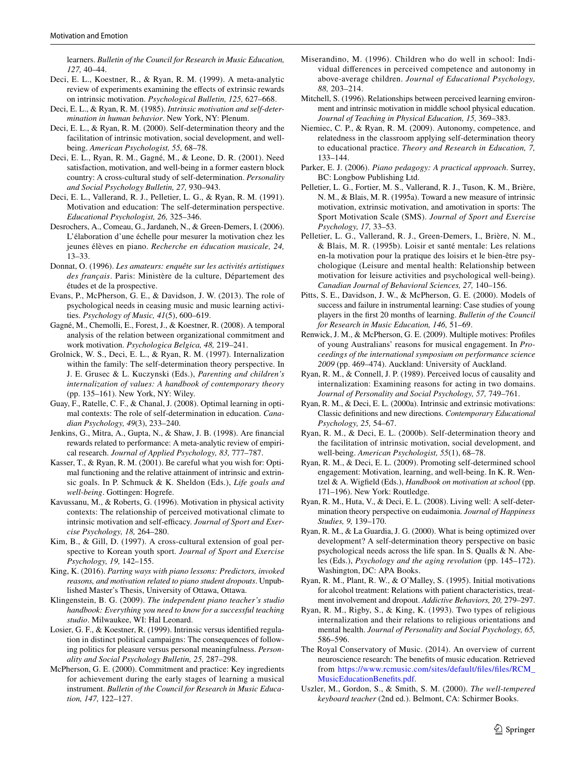learners. *Bulletin of the Council for Research in Music Education, 127,* 40–44.

- <span id="page-12-26"></span>Deci, E. L., Koestner, R., & Ryan, R. M. (1999). A meta-analytic review of experiments examining the efects of extrinsic rewards on intrinsic motivation. *Psychological Bulletin, 125,* 627–668.
- <span id="page-12-0"></span>Deci, E. L., & Ryan, R. M. (1985). *Intrinsic motivation and self-determination in human behavior*. New York, NY: Plenum.
- <span id="page-12-34"></span>Deci, E. L., & Ryan, R. M. (2000). Self-determination theory and the facilitation of intrinsic motivation, social development, and wellbeing. *American Psychologist, 55,* 68–78.
- <span id="page-12-20"></span>Deci, E. L., Ryan, R. M., Gagné, M., & Leone, D. R. (2001). Need satisfaction, motivation, and well-being in a former eastern block country: A cross-cultural study of self-determination. *Personality and Social Psychology Bulletin, 27,* 930–943.
- <span id="page-12-14"></span>Deci, E. L., Vallerand, R. J., Pelletier, L. G., & Ryan, R. M. (1991). Motivation and education: The self-determination perspective. *Educational Psychologist, 26,* 325–346.
- <span id="page-12-25"></span>Desrochers, A., Comeau, G., Jardaneh, N., & Green-Demers, I. (2006). L'élaboration d'une échelle pour mesurer la motivation chez les jeunes élèves en piano. *Recherche en éducation musicale, 24,* 13–33.
- <span id="page-12-2"></span>Donnat, O. (1996). *Les amateurs: enquête sur les activités artistiques des français*. Paris: Ministère de la culture, Département des études et de la prospective.
- <span id="page-12-5"></span>Evans, P., McPherson, G. E., & Davidson, J. W. (2013). The role of psychological needs in ceasing music and music learning activities. *Psychology of Music, 41*(5), 600–619.
- <span id="page-12-28"></span>Gagné, M., Chemolli, E., Forest, J., & Koestner, R. (2008). A temporal analysis of the relation between organizational commitment and work motivation. *Psychologica Belgica, 48,* 219–241.
- <span id="page-12-23"></span>Grolnick, W. S., Deci, E. L., & Ryan, R. M. (1997). Internalization within the family: The self-determination theory perspective. In J. E. Grusec & L. Kuczynski (Eds.), *Parenting and children's internalization of values: A handbook of contemporary theory* (pp. 135–161). New York, NY: Wiley.
- <span id="page-12-29"></span>Guay, F., Ratelle, C. F., & Chanal, J. (2008). Optimal learning in optimal contexts: The role of self-determination in education. *Canadian Psychology, 49*(3), 233–240.
- <span id="page-12-27"></span>Jenkins, G., Mitra, A., Gupta, N., & Shaw, J. B. (1998). Are fnancial rewards related to performance: A meta-analytic review of empirical research. *Journal of Applied Psychology, 83,* 777–787.
- <span id="page-12-22"></span>Kasser, T., & Ryan, R. M. (2001). Be careful what you wish for: Optimal functioning and the relative attainment of intrinsic and extrinsic goals. In P. Schmuck & K. Sheldon (Eds.), *Life goals and well-being*. Gottingen: Hogrefe.
- <span id="page-12-16"></span>Kavussanu, M., & Roberts, G. (1996). Motivation in physical activity contexts: The relationship of perceived motivational climate to intrinsic motivation and self-efficacy. Journal of Sport and Exer*cise Psychology, 18,* 264–280.
- <span id="page-12-17"></span>Kim, B., & Gill, D. (1997). A cross-cultural extension of goal perspective to Korean youth sport. *Journal of Sport and Exercise Psychology, 19,* 142–155.
- <span id="page-12-6"></span>King, K. (2016). *Parting ways with piano lessons: Predictors, invoked reasons, and motivation related to piano student dropouts*. Unpublished Master's Thesis, University of Ottawa, Ottawa.
- <span id="page-12-31"></span>Klingenstein, B. G. (2009). *The independent piano teacher's studio handbook: Everything you need to know for a successful teaching studio*. Milwaukee, WI: Hal Leonard.
- <span id="page-12-35"></span>Losier, G. F., & Koestner, R. (1999). Intrinsic versus identifed regulation in distinct political campaigns: The consequences of following politics for pleasure versus personal meaningfulness. *Personality and Social Psychology Bulletin, 25,* 287–298.
- <span id="page-12-3"></span>McPherson, G. E. (2000). Commitment and practice: Key ingredients for achievement during the early stages of learning a musical instrument. *Bulletin of the Council for Research in Music Education, 147,* 122–127.
- <span id="page-12-12"></span>Miserandino, M. (1996). Children who do well in school: Individual diferences in perceived competence and autonomy in above-average children. *Journal of Educational Psychology, 88,* 203–214.
- <span id="page-12-18"></span>Mitchell, S. (1996). Relationships between perceived learning environment and intrinsic motivation in middle school physical education. *Journal of Teaching in Physical Education, 15,* 369–383.
- <span id="page-12-36"></span>Niemiec, C. P., & Ryan, R. M. (2009). Autonomy, competence, and relatedness in the classroom applying self-determination theory to educational practice. *Theory and Research in Education, 7,* 133–144.
- <span id="page-12-32"></span>Parker, E. J. (2006). *Piano pedagogy: A practical approach*. Surrey, BC: Longbow Publishing Ltd.
- <span id="page-12-19"></span>Pelletier, L. G., Fortier, M. S., Vallerand, R. J., Tuson, K. M., Brière, N. M., & Blais, M. R. (1995a). Toward a new measure of intrinsic motivation, extrinsic motivation, and amotivation in sports: The Sport Motivation Scale (SMS). *Journal of Sport and Exercise Psychology, 17,* 33–53.
- <span id="page-12-21"></span>Pelletier, L. G., Vallerand, R. J., Green-Demers, I., Brière, N. M., & Blais, M. R. (1995b). Loisir et santé mentale: Les relations en-la motivation pour la pratique des loisirs et le bien-être psychologique (Leisure and mental health: Relationship between motivation for leisure activities and psychological well-being). *Canadian Journal of Behavioral Sciences, 27,* 140–156.
- <span id="page-12-7"></span>Pitts, S. E., Davidson, J. W., & McPherson, G. E. (2000). Models of success and failure in instrumental learning: Case studies of young players in the frst 20 months of learning. *Bulletin of the Council for Research in Music Education, 146,* 51–69.
- <span id="page-12-4"></span>Renwick, J. M., & McPherson, G. E. (2009). Multiple motives: Profles of young Australians' reasons for musical engagement. In *Proceedings of the international symposium on performance science 2009* (pp. 469–474). Auckland: University of Auckland.
- <span id="page-12-15"></span>Ryan, R. M., & Connell, J. P. (1989). Perceived locus of causality and internalization: Examining reasons for acting in two domains. *Journal of Personality and Social Psychology, 57,* 749–761.
- <span id="page-12-8"></span>Ryan, R. M., & Deci, E. L. (2000a). Intrinsic and extrinsic motivations: Classic defnitions and new directions. *Contemporary Educational Psychology, 25,* 54–67.
- <span id="page-12-9"></span>Ryan, R. M., & Deci, E. L. (2000b). Self-determination theory and the facilitation of intrinsic motivation, social development, and well-being. *American Psychologist, 55*(1), 68–78.
- <span id="page-12-11"></span>Ryan, R. M., & Deci, E. L. (2009). Promoting self-determined school engagement: Motivation, learning, and well-being. In K. R. Wentzel & A. Wigfeld (Eds.), *Handbook on motivation at school* (pp. 171–196). New York: Routledge.
- <span id="page-12-30"></span>Ryan, R. M., Huta, V., & Deci, E. L. (2008). Living well: A self-determination theory perspective on eudaimonia. *Journal of Happiness Studies, 9,* 139–170.
- <span id="page-12-10"></span>Ryan, R. M., & La Guardia, J. G. (2000). What is being optimized over development? A self-determination theory perspective on basic psychological needs across the life span. In S. Qualls & N. Abeles (Eds.), *Psychology and the aging revolution* (pp. 145–172). Washington, DC: APA Books.
- <span id="page-12-13"></span>Ryan, R. M., Plant, R. W., & O'Malley, S. (1995). Initial motivations for alcohol treatment: Relations with patient characteristics, treatment involvement and dropout. *Addictive Behaviors, 20,* 279–297.
- <span id="page-12-24"></span>Ryan, R. M., Rigby, S., & King, K. (1993). Two types of religious internalization and their relations to religious orientations and mental health. *Journal of Personality and Social Psychology, 65,* 586–596.
- <span id="page-12-1"></span>The Royal Conservatory of Music. (2014). An overview of current neuroscience research: The benefts of music education. Retrieved from [https://www.rcmusic.com/sites/default/fles/fles/RCM\\_](https://www.rcmusic.com/sites/default/files/files/RCM_MusicEducationBenefits.pdf) [MusicEducationBenefts.pdf](https://www.rcmusic.com/sites/default/files/files/RCM_MusicEducationBenefits.pdf).
- <span id="page-12-33"></span>Uszler, M., Gordon, S., & Smith, S. M. (2000). *The well-tempered keyboard teacher* (2nd ed.). Belmont, CA: Schirmer Books.